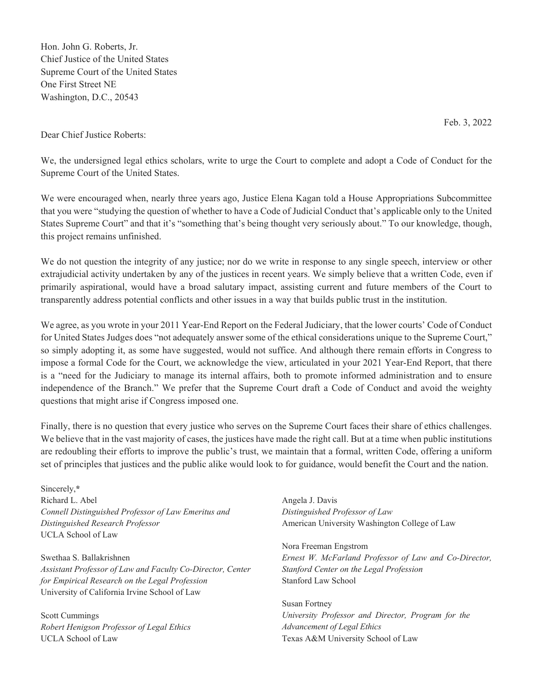Hon. John G. Roberts, Jr. Chief Justice of the United States Supreme Court of the United States One First Street NE Washington, D.C., 20543

Feb. 3, 2022

Dear Chief Justice Roberts:

We, the undersigned legal ethics scholars, write to urge the Court to complete and adopt a Code of Conduct for the Supreme Court of the United States.

We were encouraged when, nearly three years ago, Justice Elena Kagan told a House Appropriations Subcommittee that you were "studying the question of whether to have a Code of Judicial Conduct that's applicable only to the United States Supreme Court" and that it's "something that's being thought very seriously about." To our knowledge, though, this project remains unfinished.

We do not question the integrity of any justice; nor do we write in response to any single speech, interview or other extrajudicial activity undertaken by any of the justices in recent years. We simply believe that a written Code, even if primarily aspirational, would have a broad salutary impact, assisting current and future members of the Court to transparently address potential conflicts and other issues in a way that builds public trust in the institution.

We agree, as you wrote in your 2011 Year-End Report on the Federal Judiciary, that the lower courts' Code of Conduct for United States Judges does "not adequately answer some of the ethical considerations unique to the Supreme Court," so simply adopting it, as some have suggested, would not suffice. And although there remain efforts in Congress to impose a formal Code for the Court, we acknowledge the view, articulated in your 2021 Year-End Report, that there is a "need for the Judiciary to manage its internal affairs, both to promote informed administration and to ensure independence of the Branch." We prefer that the Supreme Court draft a Code of Conduct and avoid the weighty questions that might arise if Congress imposed one.

Finally, there is no question that every justice who serves on the Supreme Court faces their share of ethics challenges. We believe that in the vast majority of cases, the justices have made the right call. But at a time when public institutions are redoubling their efforts to improve the public's trust, we maintain that a formal, written Code, offering a uniform set of principles that justices and the public alike would look to for guidance, would benefit the Court and the nation.

Sincerely,**\***  Richard L. Abel *Connell Distinguished Professor of Law Emeritus and Distinguished Research Professor* UCLA School of Law

Swethaa S. Ballakrishnen *Assistant Professor of Law and Faculty Co-Director, Center for Empirical Research on the Legal Profession* University of California Irvine School of Law

Scott Cummings *Robert Henigson Professor of Legal Ethics* UCLA School of Law

Angela J. Davis *Distinguished Professor of Law* American University Washington College of Law

Nora Freeman Engstrom *Ernest W. McFarland Professor of Law and Co-Director, Stanford Center on the Legal Profession* Stanford Law School

Susan Fortney *University Professor and Director, Program for the Advancement of Legal Ethics*  Texas A&M University School of Law